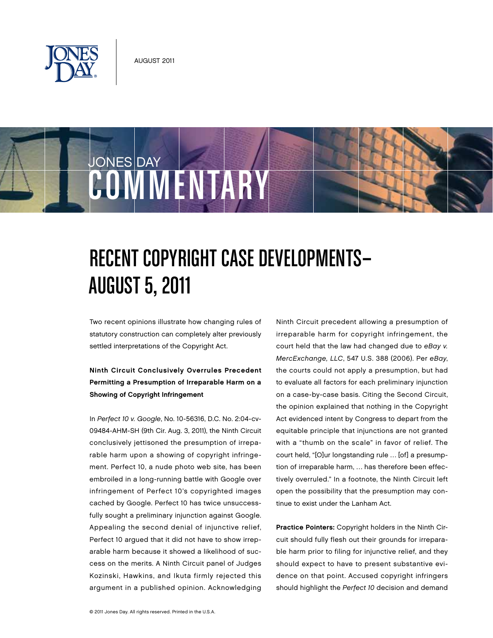



# Recent Copyright Case Developments— August 5, 2011

Two recent opinions illustrate how changing rules of statutory construction can completely alter previously settled interpretations of the Copyright Act.

### Ninth Circuit Conclusively Overrules Precedent Permitting a Presumption of Irreparable Harm on a Showing of Copyright Infringement

In Perfect 10 v. Google, No. 10-56316, D.C. No. 2:04-cv-09484-AHM-SH (9th Cir. Aug. 3, 2011), the Ninth Circuit conclusively jettisoned the presumption of irreparable harm upon a showing of copyright infringement. Perfect 10, a nude photo web site, has been embroiled in a long-running battle with Google over infringement of Perfect 10's copyrighted images cached by Google. Perfect 10 has twice unsuccessfully sought a preliminary injunction against Google. Appealing the second denial of injunctive relief, Perfect 10 argued that it did not have to show irreparable harm because it showed a likelihood of success on the merits. A Ninth Circuit panel of Judges Kozinski, Hawkins, and Ikuta firmly rejected this argument in a published opinion. Acknowledging

Ninth Circuit precedent allowing a presumption of irreparable harm for copyright infringement, the court held that the law had changed due to eBay v. MercExchange, LLC, 547 U.S. 388 (2006). Per eBay, the courts could not apply a presumption, but had to evaluate all factors for each preliminary injunction on a case-by-case basis. Citing the Second Circuit, the opinion explained that nothing in the Copyright Act evidenced intent by Congress to depart from the equitable principle that injunctions are not granted with a "thumb on the scale" in favor of relief. The court held, "[O]ur longstanding rule … [of] a presumption of irreparable harm, … has therefore been effectively overruled." In a footnote, the Ninth Circuit left open the possibility that the presumption may continue to exist under the Lanham Act.

Practice Pointers: Copyright holders in the Ninth Circuit should fully flesh out their grounds for irreparable harm prior to filing for injunctive relief, and they should expect to have to present substantive evidence on that point. Accused copyright infringers should highlight the Perfect 10 decision and demand